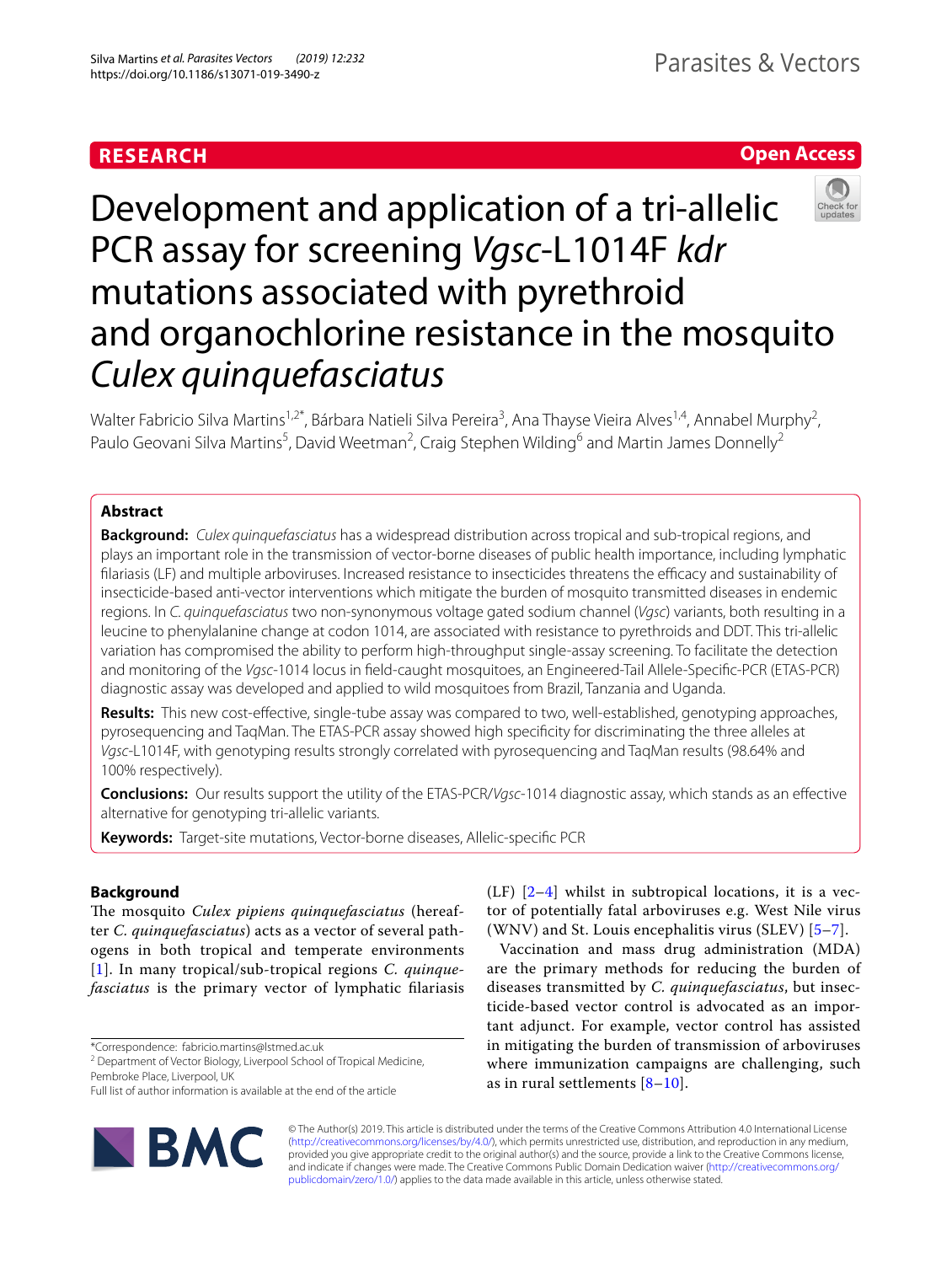# **RESEARCH**

# **Open Access**



# Development and application of a tri-allelic PCR assay for screening *Vgsc*-L1014F *kdr* mutations associated with pyrethroid and organochlorine resistance in the mosquito *Culex quinquefasciatus*

Walter Fabricio Silva Martins<sup>1,2\*</sup>, Bárbara Natieli Silva Pereira<sup>3</sup>, Ana Thayse Vieira Alves<sup>1,4</sup>, Annabel Murphy<sup>2</sup>, Paulo Geovani Silva Martins<sup>5</sup>, David Weetman<sup>2</sup>, Craig Stephen Wilding<sup>6</sup> and Martin James Donnelly<sup>2</sup>

# **Abstract**

**Background:** *Culex quinquefasciatus* has a widespread distribution across tropical and sub-tropical regions, and plays an important role in the transmission of vector-borne diseases of public health importance, including lymphatic filariasis (LF) and multiple arboviruses. Increased resistance to insecticides threatens the efficacy and sustainability of insecticide-based anti-vector interventions which mitigate the burden of mosquito transmitted diseases in endemic regions. In *C. quinquefasciatus* two non-synonymous voltage gated sodium channel (*Vgsc*) variants, both resulting in a leucine to phenylalanine change at codon 1014, are associated with resistance to pyrethroids and DDT. This tri-allelic variation has compromised the ability to perform high-throughput single-assay screening. To facilitate the detection and monitoring of the *Vgsc*-1014 locus in feld-caught mosquitoes, an Engineered-Tail Allele-Specifc-PCR (ETAS-PCR) diagnostic assay was developed and applied to wild mosquitoes from Brazil, Tanzania and Uganda.

**Results:** This new cost-efective, single-tube assay was compared to two, well-established, genotyping approaches, pyrosequencing and TaqMan. The ETAS-PCR assay showed high specifcity for discriminating the three alleles at *Vgsc*-L1014F, with genotyping results strongly correlated with pyrosequencing and TaqMan results (98.64% and 100% respectively).

**Conclusions:** Our results support the utility of the ETAS-PCR/*Vgsc*-1014 diagnostic assay, which stands as an efective alternative for genotyping tri-allelic variants.

**Keywords:** Target-site mutations, Vector-borne diseases, Allelic-specifc PCR

# **Background**

The mosquito *Culex pipiens quinquefasciatus* (hereafter *C. quinquefasciatus*) acts as a vector of several pathogens in both tropical and temperate environments [[1](#page-5-0)]. In many tropical/sub-tropical regions *C. quinquefasciatus* is the primary vector of lymphatic flariasis

\*Correspondence: fabricio.martins@lstmed.ac.uk

Full list of author information is available at the end of the article



(LF)  $[2-4]$  $[2-4]$  $[2-4]$  $[2-4]$  $[2-4]$  whilst in subtropical locations, it is a vector of potentially fatal arboviruses e.g. West Nile virus (WNV) and St. Louis encephalitis virus (SLEV) [\[5](#page-5-3)[–7\]](#page-5-4).

Vaccination and mass drug administration (MDA) are the primary methods for reducing the burden of diseases transmitted by *C. quinquefasciatus*, but insecticide-based vector control is advocated as an important adjunct. For example, vector control has assisted in mitigating the burden of transmission of arboviruses where immunization campaigns are challenging, such as in rural settlements [[8](#page-5-5)–[10](#page-5-6)].

© The Author(s) 2019. This article is distributed under the terms of the Creative Commons Attribution 4.0 International License [\(http://creativecommons.org/licenses/by/4.0/\)](http://creativecommons.org/licenses/by/4.0/), which permits unrestricted use, distribution, and reproduction in any medium, provided you give appropriate credit to the original author(s) and the source, provide a link to the Creative Commons license, and indicate if changes were made. The Creative Commons Public Domain Dedication waiver ([http://creativecommons.org/](http://creativecommons.org/publicdomain/zero/1.0/) [publicdomain/zero/1.0/](http://creativecommons.org/publicdomain/zero/1.0/)) applies to the data made available in this article, unless otherwise stated.

<sup>&</sup>lt;sup>2</sup> Department of Vector Biology, Liverpool School of Tropical Medicine, Pembroke Place, Liverpool, UK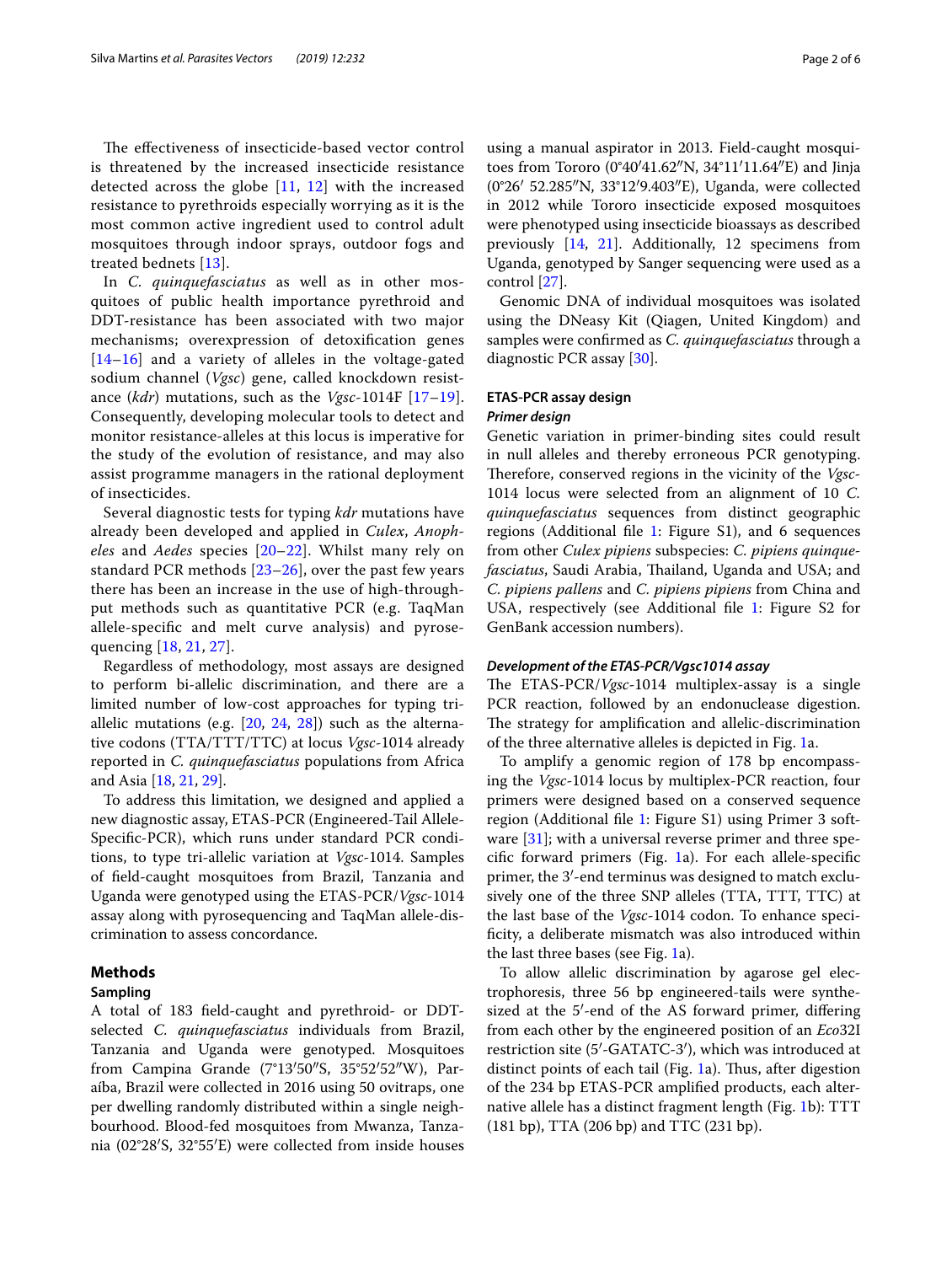The effectiveness of insecticide-based vector control is threatened by the increased insecticide resistance detected across the globe [[11,](#page-5-7) [12](#page-5-8)] with the increased resistance to pyrethroids especially worrying as it is the most common active ingredient used to control adult mosquitoes through indoor sprays, outdoor fogs and treated bednets [[13](#page-5-9)].

In *C. quinquefasciatus* as well as in other mosquitoes of public health importance pyrethroid and DDT-resistance has been associated with two major mechanisms; overexpression of detoxifcation genes [[14](#page-5-10)[–16](#page-5-11)] and a variety of alleles in the voltage-gated sodium channel (*Vgsc*) gene, called knockdown resistance (*kdr*) mutations, such as the *Vgsc*-1014F [[17–](#page-5-12)[19\]](#page-5-13). Consequently, developing molecular tools to detect and monitor resistance-alleles at this locus is imperative for the study of the evolution of resistance, and may also assist programme managers in the rational deployment of insecticides.

Several diagnostic tests for typing *kdr* mutations have already been developed and applied in *Culex*, *Anopheles* and *Aedes* species [[20](#page-5-14)–[22](#page-5-15)]. Whilst many rely on standard PCR methods  $[23–26]$  $[23–26]$ , over the past few years there has been an increase in the use of high-throughput methods such as quantitative PCR (e.g. TaqMan allele-specifc and melt curve analysis) and pyrosequencing [\[18](#page-5-18), [21](#page-5-19), [27](#page-5-20)].

Regardless of methodology, most assays are designed to perform bi-allelic discrimination, and there are a limited number of low-cost approaches for typing triallelic mutations (e.g. [[20,](#page-5-14) [24,](#page-5-21) [28\]](#page-5-22)) such as the alternative codons (TTA/TTT/TTC) at locus *Vgsc*-1014 already reported in *C. quinquefasciatus* populations from Africa and Asia [[18,](#page-5-18) [21,](#page-5-19) [29](#page-5-23)].

To address this limitation, we designed and applied a new diagnostic assay, ETAS-PCR (Engineered-Tail Allele-Specifc-PCR), which runs under standard PCR conditions, to type tri-allelic variation at *Vgsc-*1014. Samples of feld-caught mosquitoes from Brazil, Tanzania and Uganda were genotyped using the ETAS-PCR/*Vgsc*-1014 assay along with pyrosequencing and TaqMan allele-discrimination to assess concordance.

#### **Methods**

# **Sampling**

A total of 183 feld-caught and pyrethroid- or DDTselected *C. quinquefasciatus* individuals from Brazil, Tanzania and Uganda were genotyped. Mosquitoes from Campina Grande (7°13′50″S, 35°52′52″W), Paraíba, Brazil were collected in 2016 using 50 ovitraps, one per dwelling randomly distributed within a single neighbourhood. Blood-fed mosquitoes from Mwanza, Tanzania (02°28′S, 32°55′E) were collected from inside houses using a manual aspirator in 2013. Field-caught mosquitoes from Tororo (0°40′41.62″N, 34°11′11.64″E) and Jinja (0°26′ 52.285″N, 33°12′9.403″E), Uganda, were collected in 2012 while Tororo insecticide exposed mosquitoes were phenotyped using insecticide bioassays as described previously [\[14,](#page-5-10) [21](#page-5-19)]. Additionally, 12 specimens from Uganda, genotyped by Sanger sequencing were used as a control [[27\]](#page-5-20).

Genomic DNA of individual mosquitoes was isolated using the DNeasy Kit (Qiagen, United Kingdom) and samples were confrmed as *C. quinquefasciatus* through a diagnostic PCR assay [[30](#page-5-24)].

# **ETAS‑PCR assay design** *Primer design*

Genetic variation in primer-binding sites could result in null alleles and thereby erroneous PCR genotyping. Therefore, conserved regions in the vicinity of the *Vgsc*-1014 locus were selected from an alignment of 10 *C. quinquefasciatus* sequences from distinct geographic regions (Additional fle [1:](#page-4-0) Figure S1), and 6 sequences from other *Culex pipiens* subspecies: *C. pipiens quinquefasciatus*, Saudi Arabia, Thailand, Uganda and USA; and *C. pipiens pallens* and *C. pipiens pipiens* from China and USA, respectively (see Additional fle [1:](#page-4-0) Figure S2 for GenBank accession numbers).

#### *Development of the ETAS‑PCR/Vgsc1014 assay*

The ETAS-PCR/*Vgsc*-1014 multiplex-assay is a single PCR reaction, followed by an endonuclease digestion. The strategy for amplification and allelic-discrimination of the three alternative alleles is depicted in Fig. [1](#page-2-0)a.

To amplify a genomic region of 178 bp encompassing the *Vgsc*-1014 locus by multiplex-PCR reaction, four primers were designed based on a conserved sequence region (Additional fle [1](#page-4-0): Figure S1) using Primer 3 soft-ware [\[31](#page-5-25)]; with a universal reverse primer and three specifc forward primers (Fig. [1](#page-2-0)a). For each allele-specifc primer, the 3′-end terminus was designed to match exclusively one of the three SNP alleles (TTA, TTT, TTC) at the last base of the *Vgsc*-1014 codon. To enhance specifcity, a deliberate mismatch was also introduced within the last three bases (see Fig. [1a](#page-2-0)).

To allow allelic discrimination by agarose gel electrophoresis, three 56 bp engineered-tails were synthesized at the 5′-end of the AS forward primer, difering from each other by the engineered position of an *Eco*32I restriction site (5′-GATATC-3′), which was introduced at distinct points of each tail (Fig.  $1a$  $1a$ ). Thus, after digestion of the 234 bp ETAS-PCR amplifed products, each alternative allele has a distinct fragment length (Fig. [1](#page-2-0)b): TTT (181 bp), TTA (206 bp) and TTC (231 bp).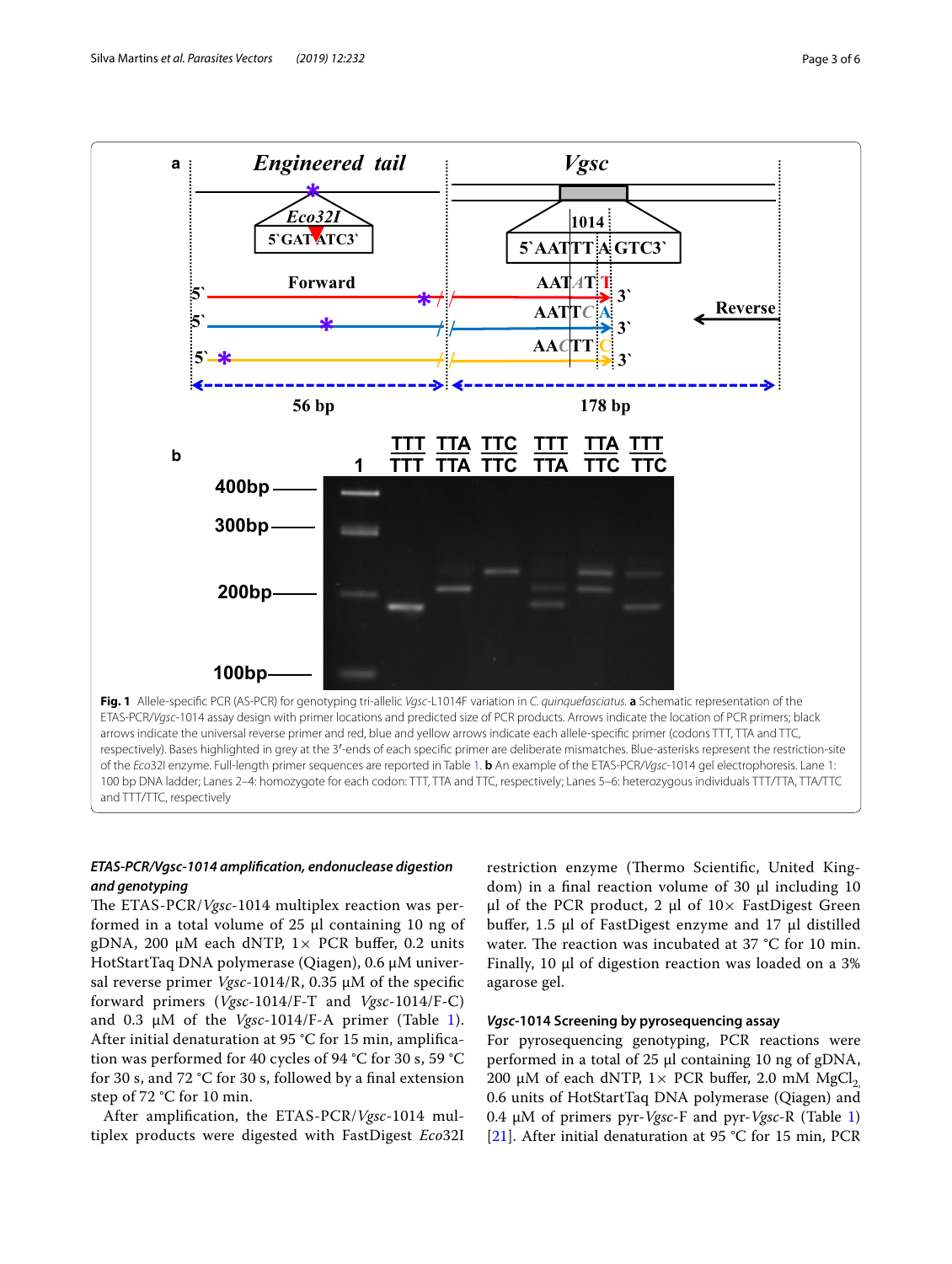

#### <span id="page-2-0"></span>and TTT/TTC, respectively

# *ETAS‑PCR/Vgsc‑1014 amplifcation, endonuclease digestion and genotyping*

The ETAS-PCR/*Vgsc*-1014 multiplex reaction was performed in a total volume of 25 µl containing 10 ng of gDNA, 200  $\mu$ M each dNTP,  $1 \times$  PCR buffer, 0.2 units HotStartTaq DNA polymerase (Qiagen), 0.6 µM universal reverse primer *Vgsc*-1014/R, 0.35 µM of the specifc forward primers (*Vgsc*-1014/F-T and *Vgsc*-1014/F-C) and 0.3 µM of the *Vgsc*-1014/F-A primer (Table [1\)](#page-3-0). After initial denaturation at 95 °C for 15 min, amplifcation was performed for 40 cycles of 94 °C for 30 s, 59 °C for 30 s, and 72 °C for 30 s, followed by a fnal extension step of 72 °C for 10 min.

After amplifcation, the ETAS-PCR/*Vgsc*-1014 multiplex products were digested with FastDigest *Eco*32I restriction enzyme (Thermo Scientific, United Kingdom) in a final reaction volume of 30 µl including 10  $\mu$ l of the PCR product, 2  $\mu$ l of 10× FastDigest Green bufer, 1.5 µl of FastDigest enzyme and 17 µl distilled water. The reaction was incubated at  $37 °C$  for 10 min. Finally, 10 µl of digestion reaction was loaded on a 3% agarose gel.

# *Vgsc***‑1014 Screening by pyrosequencing assay**

For pyrosequencing genotyping, PCR reactions were performed in a total of 25 µl containing 10 ng of gDNA, 200 µM of each dNTP,  $1 \times$  PCR buffer, 2.0 mM MgCl<sub>2</sub> 0.6 units of HotStartTaq DNA polymerase (Qiagen) and 0.4 µM of primers pyr-*Vgsc*-F and pyr-*Vgsc*-R (Table [1](#page-3-0)) [[21\]](#page-5-19). After initial denaturation at 95 °C for 15 min, PCR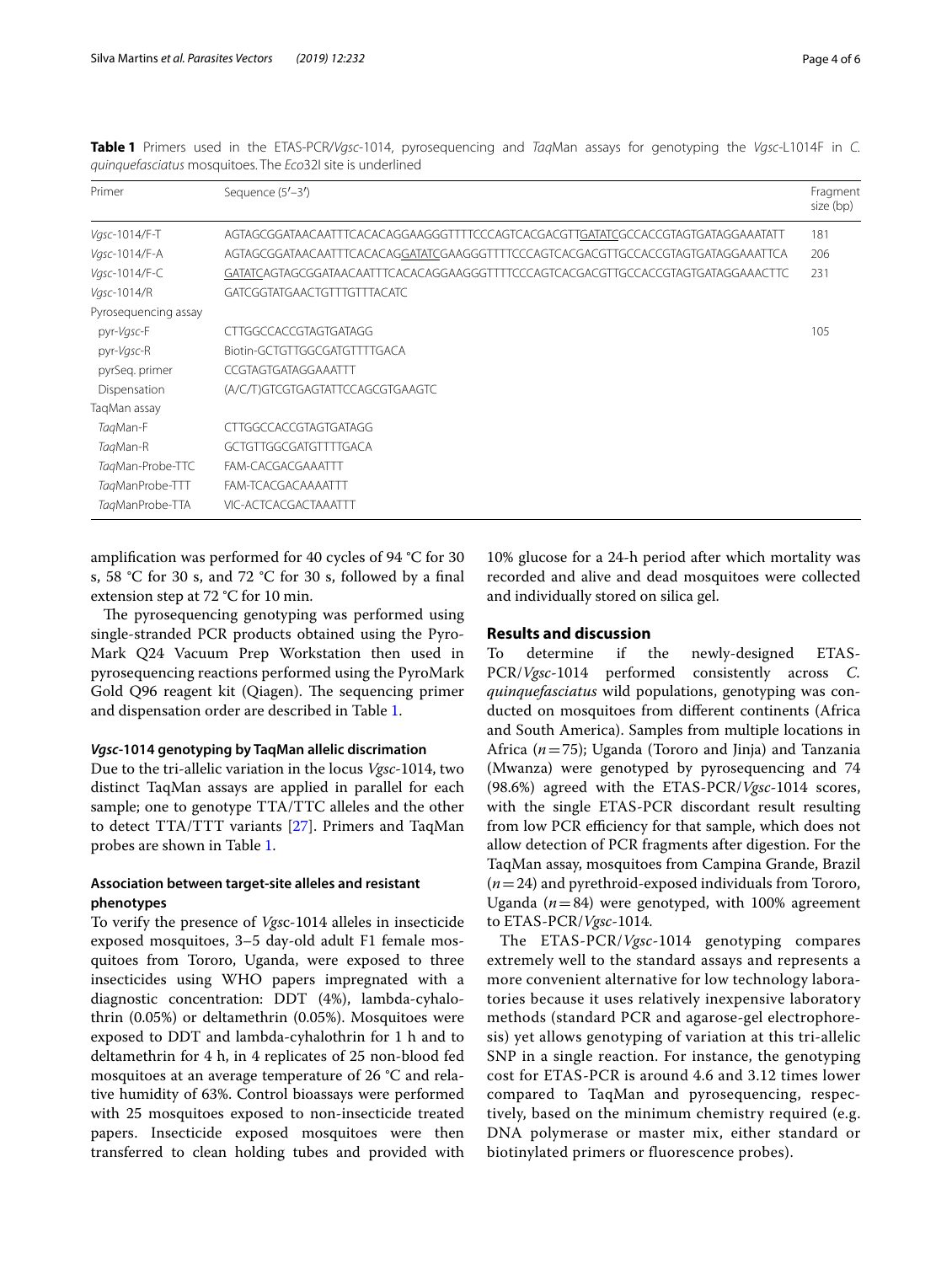| Primer               | Sequence $(5'-3')$                                                               |     |  |  |  |
|----------------------|----------------------------------------------------------------------------------|-----|--|--|--|
| Vgsc-1014/F-T        | AGTAGCGGATAACAATTTCACACAGGAAGGGTTTTCCCAGTCACGACGTTGATATCGCCACCGTAGTGATAGGAAATATT |     |  |  |  |
| Vgsc-1014/F-A        | AGTAGCGGATAACAATTTCACACAGGATATCGAAGGGTTTTCCCAGTCACGACGTTGCCACCGTAGTGATAGGAAATTCA |     |  |  |  |
| Vgsc-1014/F-C        | GATATCAGTAGCGGATAACAATTTCACACAGGAAGGGTTTTCCCAGTCACGACGTTGCCACCGTAGTGATAGGAAACTTC |     |  |  |  |
| Vgsc-1014/R          | <b>GATCGGTATGAACTGTTTGTTTACATC</b>                                               |     |  |  |  |
| Pyrosequencing assay |                                                                                  |     |  |  |  |
| pyr-Vgsc-F           | CTTGGCCACCGTAGTGATAGG                                                            | 105 |  |  |  |
| pyr-Vgsc-R           | Biotin-GCTGTTGGCGATGTTTTGACA                                                     |     |  |  |  |
| pyrSeg. primer       | CCGTAGTGATAGGAAATTT                                                              |     |  |  |  |
| Dispensation         | (A/C/T)GTCGTGAGTATTCCAGCGTGAAGTC                                                 |     |  |  |  |
| TaqMan assay         |                                                                                  |     |  |  |  |
| TagMan-F             | CTTGGCCACCGTAGTGATAGG                                                            |     |  |  |  |
| TagMan-R             | GCTGTTGGCGATGTTTTGACA                                                            |     |  |  |  |
| TagMan-Probe-TTC     | FAM-CACGACGAAATTT                                                                |     |  |  |  |
| TagManProbe-TTT      | FAM-TCACGACAAAATTT                                                               |     |  |  |  |
| TagManProbe-TTA      | VIC-ACTCACGACTAAATTT                                                             |     |  |  |  |

<span id="page-3-0"></span>**Table 1** Primers used in the ETAS-PCR/*Vgsc*-1014, pyrosequencing and *Taq*Man assays for genotyping the *Vgsc*-L1014F in *C. quinquefasciatus* mosquitoes. The *Eco*32I site is underlined

amplifcation was performed for 40 cycles of 94 °C for 30 s, 58 °C for 30 s, and 72 °C for 30 s, followed by a fnal extension step at 72 °C for 10 min.

The pyrosequencing genotyping was performed using single-stranded PCR products obtained using the Pyro-Mark Q24 Vacuum Prep Workstation then used in pyrosequencing reactions performed using the PyroMark Gold Q96 reagent kit (Qiagen). The sequencing primer and dispensation order are described in Table [1.](#page-3-0)

## *Vgsc***‑1014 genotyping by TaqMan allelic discrimation**

Due to the tri-allelic variation in the locus *Vgsc-*1014, two distinct TaqMan assays are applied in parallel for each sample; one to genotype TTA/TTC alleles and the other to detect TTA/TTT variants [\[27\]](#page-5-20). Primers and TaqMan probes are shown in Table [1.](#page-3-0)

# **Association between target‑site alleles and resistant phenotypes**

To verify the presence of *Vgs*c-1014 alleles in insecticide exposed mosquitoes, 3–5 day-old adult F1 female mosquitoes from Tororo, Uganda, were exposed to three insecticides using WHO papers impregnated with a diagnostic concentration: DDT (4%), lambda-cyhalothrin (0.05%) or deltamethrin (0.05%). Mosquitoes were exposed to DDT and lambda-cyhalothrin for 1 h and to deltamethrin for 4 h, in 4 replicates of 25 non-blood fed mosquitoes at an average temperature of 26 °C and relative humidity of 63%. Control bioassays were performed with 25 mosquitoes exposed to non-insecticide treated papers. Insecticide exposed mosquitoes were then transferred to clean holding tubes and provided with

10% glucose for a 24-h period after which mortality was recorded and alive and dead mosquitoes were collected and individually stored on silica gel.

## **Results and discussion**

To determine if the newly-designed ETAS-PCR/*Vgsc*-1014 performed consistently across *C. quinquefasciatus* wild populations, genotyping was conducted on mosquitoes from diferent continents (Africa and South America). Samples from multiple locations in Africa (*n*=75); Uganda (Tororo and Jinja) and Tanzania (Mwanza) were genotyped by pyrosequencing and 74 (98.6%) agreed with the ETAS-PCR/*Vgsc*-1014 scores, with the single ETAS-PCR discordant result resulting from low PCR efficiency for that sample, which does not allow detection of PCR fragments after digestion. For the TaqMan assay, mosquitoes from Campina Grande, Brazil (*n*=24) and pyrethroid-exposed individuals from Tororo, Uganda  $(n=84)$  were genotyped, with 100% agreement to ETAS-PCR/*Vgsc*-1014.

The ETAS-PCR/*Vgsc*-1014 genotyping compares extremely well to the standard assays and represents a more convenient alternative for low technology laboratories because it uses relatively inexpensive laboratory methods (standard PCR and agarose-gel electrophoresis) yet allows genotyping of variation at this tri-allelic SNP in a single reaction. For instance, the genotyping cost for ETAS-PCR is around 4.6 and 3.12 times lower compared to TaqMan and pyrosequencing, respectively, based on the minimum chemistry required (e.g. DNA polymerase or master mix, either standard or biotinylated primers or fluorescence probes).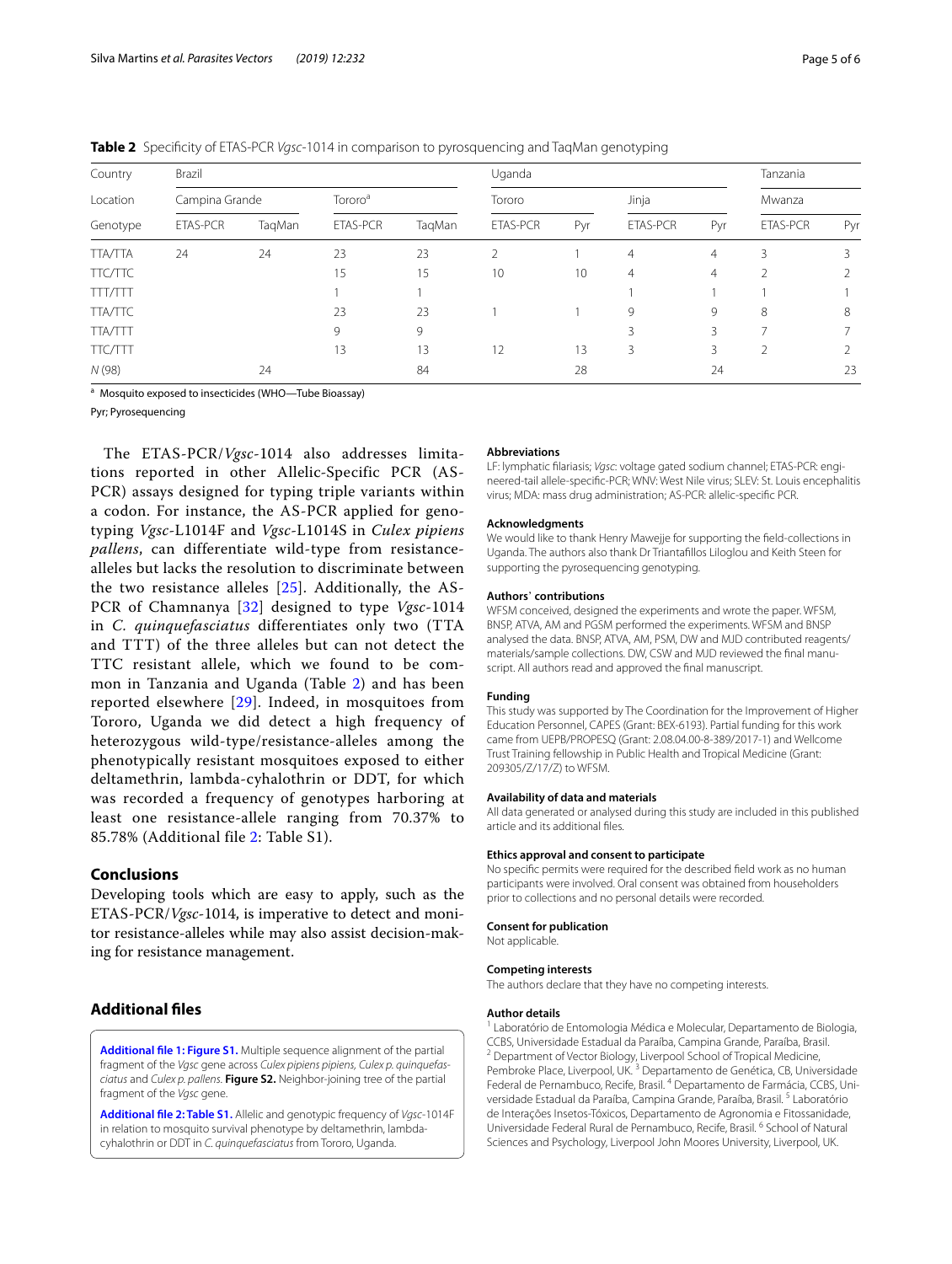| Country<br>Location<br>Genotype | Brazil          |        |                     |        | Uganda          |     |                 |                | Tanzania        |     |
|---------------------------------|-----------------|--------|---------------------|--------|-----------------|-----|-----------------|----------------|-----------------|-----|
|                                 | Campina Grande  |        | Tororo <sup>a</sup> |        | Tororo          |     | Jinja           |                | Mwanza          |     |
|                                 | <b>ETAS-PCR</b> | TaqMan | <b>ETAS-PCR</b>     | TagMan | <b>ETAS-PCR</b> | Pyr | <b>ETAS-PCR</b> | Pyr            | <b>ETAS-PCR</b> | Pyr |
| <b>TTA/TTA</b>                  | 24              | 24     | 23                  | 23     | 2               |     | $\overline{4}$  | $\overline{4}$ | 3               | 3   |
| <b>TTC/TTC</b>                  |                 |        | 15                  | 15     | 10              | 10  | $\overline{4}$  | $\overline{4}$ | 2               |     |
| <b>TTT/TTT</b>                  |                 |        |                     |        |                 |     |                 |                |                 |     |
| <b>TTA/TTC</b>                  |                 |        | 23                  | 23     |                 |     | 9               | 9              | 8               | 8   |
| <b>TTA/TTT</b>                  |                 |        | 9                   | 9      |                 |     | 3               | 3              | ⇁               |     |
| <b>TTC/TTT</b>                  |                 |        | 13                  | 13     | 12              | 13  | 3               | 3              | 2               |     |
| N (98)                          |                 | 24     |                     | 84     |                 | 28  |                 | 24             |                 | 23  |

<span id="page-4-1"></span>**Table 2** Specifcity of ETAS-PCR *Vgsc*-1014 in comparison to pyrosquencing and TaqMan genotyping

a Mosquito exposed to insecticides (WHO-Tube Bioassay)

Pyr; Pyrosequencing

The ETAS-PCR/*Vgsc*-1014 also addresses limitations reported in other Allelic-Specific PCR (AS-PCR) assays designed for typing triple variants within a codon. For instance, the AS-PCR applied for genotyping *Vgsc*-L1014F and *Vgsc*-L1014S in *Culex pipiens pallens*, can differentiate wild-type from resistancealleles but lacks the resolution to discriminate between the two resistance alleles [[25](#page-5-26)]. Additionally, the AS-PCR of Chamnanya [[32\]](#page-5-27) designed to type *Vgsc*-1014 in *C. quinquefasciatus* differentiates only two (TTA and TTT) of the three alleles but can not detect the TTC resistant allele, which we found to be common in Tanzania and Uganda (Table [2\)](#page-4-1) and has been reported elsewhere [[29\]](#page-5-23). Indeed, in mosquitoes from Tororo, Uganda we did detect a high frequency of heterozygous wild-type/resistance-alleles among the phenotypically resistant mosquitoes exposed to either deltamethrin, lambda-cyhalothrin or DDT, for which was recorded a frequency of genotypes harboring at least one resistance-allele ranging from 70.37% to 85.78% (Additional file [2:](#page-4-2) Table S1).

#### **Conclusions**

Developing tools which are easy to apply, such as the ETAS-PCR/*Vgsc*-1014, is imperative to detect and monitor resistance-alleles while may also assist decision-making for resistance management.

# **Additional fles**

<span id="page-4-0"></span>**[Additional fle 1: Figure S1.](https://doi.org/10.1186/s13071-019-3490-z)** Multiple sequence alignment of the partial fragment of the *Vgsc* gene across *Culex pipiens pipiens, Culex p. quinquefasciatus* and *Culex p. pallens*. **Figure S2.** Neighbor-joining tree of the partial fragment of the *Vgsc* gene.

**[Additional fle 2: Table S1.](https://doi.org/10.1186/s13071-019-3490-z)** Allelic and genotypic frequency of *Vgsc*-1014F in relation to mosquito survival phenotype by deltamethrin, lambdacyhalothrin or DDT in *C. quinquefasciatus* from Tororo, Uganda.

#### **Abbreviations**

LF: lymphatic flariasis; *Vgsc*: voltage gated sodium channel; ETAS-PCR: engineered-tail allele-specifc-PCR; WNV: West Nile virus; SLEV: St. Louis encephalitis virus; MDA: mass drug administration; AS-PCR: allelic-specifc PCR.

#### **Acknowledgments**

We would like to thank Henry Mawejje for supporting the feld-collections in Uganda. The authors also thank Dr Triantafllos Liloglou and Keith Steen for supporting the pyrosequencing genotyping.

#### **Authors**' **contributions**

WFSM conceived, designed the experiments and wrote the paper. WFSM, BNSP, ATVA, AM and PGSM performed the experiments. WFSM and BNSP analysed the data. BNSP, ATVA, AM, PSM, DW and MJD contributed reagents/ materials/sample collections. DW, CSW and MJD reviewed the fnal manuscript. All authors read and approved the fnal manuscript.

### **Funding**

This study was supported by The Coordination for the Improvement of Higher Education Personnel, CAPES (Grant: BEX-6193). Partial funding for this work came from UEPB/PROPESQ (Grant: 2.08.04.00-8-389/2017-1) and Wellcome Trust Training fellowship in Public Health and Tropical Medicine (Grant: 209305/Z/17/Z) to WFSM.

#### **Availability of data and materials**

All data generated or analysed during this study are included in this published article and its additional fles.

#### **Ethics approval and consent to participate**

No specifc permits were required for the described feld work as no human participants were involved. Oral consent was obtained from householders prior to collections and no personal details were recorded.

#### **Consent for publication**

Not applicable.

#### **Competing interests**

The authors declare that they have no competing interests.

#### **Author details**

<span id="page-4-2"></span>Laboratório de Entomologia Médica e Molecular, Departamento de Biologia, CCBS, Universidade Estadual da Paraíba, Campina Grande, Paraíba, Brasil. <sup>2</sup> Department of Vector Biology, Liverpool School of Tropical Medicine, Pembroke Place, Liverpool, UK.<sup>3</sup> Departamento de Genética, CB, Universidade Federal de Pernambuco, Recife, Brasil. 4 Departamento de Farmácia, CCBS, Universidade Estadual da Paraíba, Campina Grande, Paraíba, Brasil.<sup>5</sup> Laboratório de Interações Insetos-Tóxicos, Departamento de Agronomia e Fitossanidade, Universidade Federal Rural de Pernambuco, Recife, Brasil. 6 School of Natural Sciences and Psychology, Liverpool John Moores University, Liverpool, UK.